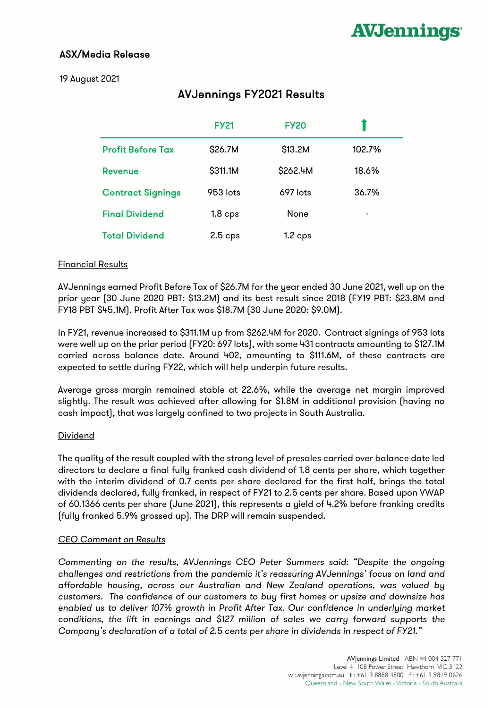# ASX/Media Release

# 19 August 2021

# AVJennings FY2021 Results

|                          | <b>FY21</b>        | <b>FY20</b>        |        |
|--------------------------|--------------------|--------------------|--------|
| <b>Profit Before Tax</b> | \$26.7M            | \$13.2M            | 102.7% |
| <b>Revenue</b>           | \$311.1M           | \$262.4M           | 18.6%  |
| <b>Contract Signings</b> | 953 lots           | $697$ lots         | 36.7%  |
| <b>Final Dividend</b>    | 1.8 <sub>cps</sub> | None               | ۰      |
| <b>Total Dividend</b>    | $2.5$ cps          | 1.2 <sub>cps</sub> |        |

## Financial Results

AVJennings earned Profit Before Tax of \$26.7M for the year ended 30 June 2021, well up on the prior year (30 June 2020 PBT: \$13.2M) and its best result since 2018 (FY19 PBT: \$23.8M and FY18 PBT \$45.1M). Profit After Tax was \$18.7M (30 June 2020: \$9.0M).

In FY21, revenue increased to \$311.1M up from \$262.4M for 2020. Contract signings of 953 lots were well up on the prior period (FY20: 697 lots), with some 431 contracts amounting to \$127.1M carried across balance date. Around 402, amounting to \$111.6M, of these contracts are expected to settle during FY22, which will help underpin future results.

Average gross margin remained stable at 22.6%, while the average net margin improved slightly. The result was achieved after allowing for \$1.8M in additional provision (having no cash impact), that was largely confined to two projects in South Australia.

#### **Dividend**

The quality of the result coupled with the strong level of presales carried over balance date led directors to declare a final fully franked cash dividend of 1.8 cents per share, which together with the interim dividend of 0.7 cents per share declared for the first half, brings the total dividends declared, fully franked, in respect of FY21 to 2.5 cents per share. Based upon VWAP of 60.1366 cents per share (June 2021), this represents a yield of 4.2% before franking credits (fully franked 5.9% grossed up). The DRP will remain suspended.

## CEO Comment on Results

Commenting on the results, AVJennings CEO Peter Summers said: "Despite the ongoing challenges and restrictions from the pandemic it's reassuring AVJennings' focus on land and affordable housing, across our Australian and New Zealand operations, was valued by customers. The confidence of our customers to buy first homes or upsize and downsize has enabled us to deliver 107% growth in Profit After Tax. Our confidence in underlying market conditions, the lift in earnings and \$127 million of sales we carry forward supports the Company's declaration of a total of 2.5 cents per share in dividends in respect of FY21."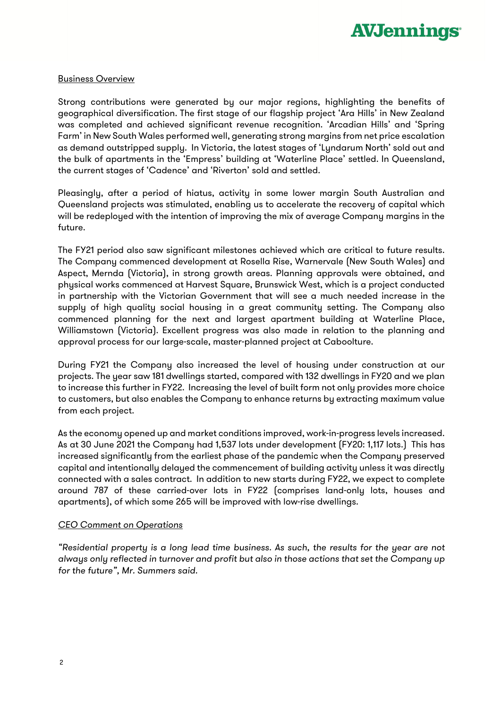

#### Business Overview

Strong contributions were generated by our major regions, highlighting the benefits of geographical diversification. The first stage of our flagship project 'Ara Hills' in New Zealand was completed and achieved significant revenue recognition. 'Arcadian Hills' and 'Spring Farm' in New South Wales performed well, generating strong margins from net price escalation as demand outstripped supply. In Victoria, the latest stages of 'Lyndarum North' sold out and the bulk of apartments in the 'Empress' building at 'Waterline Place' settled. In Queensland, the current stages of 'Cadence' and 'Riverton' sold and settled.

Pleasingly, after a period of hiatus, activity in some lower margin South Australian and Queensland projects was stimulated, enabling us to accelerate the recovery of capital which will be redeployed with the intention of improving the mix of average Company margins in the future.

The FY21 period also saw significant milestones achieved which are critical to future results. The Company commenced development at Rosella Rise, Warnervale (New South Wales) and Aspect, Mernda (Victoria), in strong growth areas. Planning approvals were obtained, and physical works commenced at Harvest Square, Brunswick West, which is a project conducted in partnership with the Victorian Government that will see a much needed increase in the supply of high quality social housing in a great community setting. The Company also commenced planning for the next and largest apartment building at Waterline Place, Williamstown (Victoria). Excellent progress was also made in relation to the planning and approval process for our large-scale, master-planned project at Caboolture.

During FY21 the Company also increased the level of housing under construction at our projects. The year saw 181 dwellings started, compared with 132 dwellings in FY20 and we plan to increase this further in FY22. Increasing the level of built form not only provides more choice to customers, but also enables the Company to enhance returns by extracting maximum value from each project.

As the economy opened up and market conditions improved, work-in-progress levels increased. As at 30 June 2021 the Company had 1,537 lots under development (FY20: 1,117 lots.) This has increased significantly from the earliest phase of the pandemic when the Company preserved capital and intentionally delayed the commencement of building activity unless it was directly connected with a sales contract. In addition to new starts during FY22, we expect to complete around 787 of these carried-over lots in FY22 (comprises land-only lots, houses and apartments), of which some 265 will be improved with low-rise dwellings.

#### CEO Comment on Operations

"Residential property is a long lead time business. As such, the results for the year are not always only reflected in turnover and profit but also in those actions that set the Company up for the future", Mr. Summers said.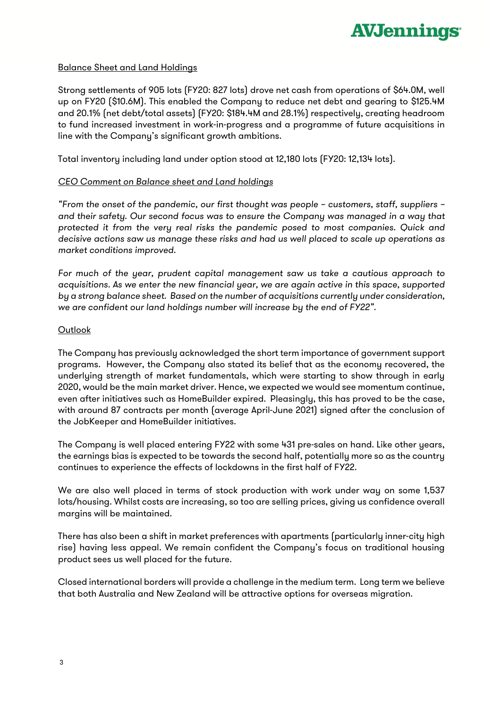#### Balance Sheet and Land Holdings

Strong settlements of 905 lots (FY20: 827 lots) drove net cash from operations of \$64.0M, well up on FY20 (\$10.6M). This enabled the Company to reduce net debt and gearing to \$125.4M and 20.1% (net debt/total assets) (FY20: \$184.4M and 28.1%) respectively, creating headroom to fund increased investment in work-in-progress and a programme of future acquisitions in line with the Company's significant growth ambitions.

Total inventory including land under option stood at 12,180 lots (FY20: 12,134 lots).

#### CEO Comment on Balance sheet and Land holdings

"From the onset of the pandemic, our first thought was people – customers, staff, suppliers – and their safety. Our second focus was to ensure the Company was managed in a way that protected it from the very real risks the pandemic posed to most companies. Quick and decisive actions saw us manage these risks and had us well placed to scale up operations as market conditions improved.

For much of the year, prudent capital management saw us take a cautious approach to acquisitions. As we enter the new financial year, we are again active in this space, supported by a strong balance sheet. Based on the number of acquisitions currently under consideration, we are confident our land holdings number will increase by the end of FY22".

#### **Outlook**

The Company has previously acknowledged the short term importance of government support programs. However, the Company also stated its belief that as the economy recovered, the underlying strength of market fundamentals, which were starting to show through in early 2020, would be the main market driver. Hence, we expected we would see momentum continue, even after initiatives such as HomeBuilder expired. Pleasingly, this has proved to be the case, with around 87 contracts per month (average April-June 2021) signed after the conclusion of the JobKeeper and HomeBuilder initiatives.

The Company is well placed entering FY22 with some 431 pre-sales on hand. Like other years, the earnings bias is expected to be towards the second half, potentially more so as the country continues to experience the effects of lockdowns in the first half of FY22.

We are also well placed in terms of stock production with work under way on some 1,537 lots/housing. Whilst costs are increasing, so too are selling prices, giving us confidence overall margins will be maintained.

There has also been a shift in market preferences with apartments (particularly inner-city high rise) having less appeal. We remain confident the Company's focus on traditional housing product sees us well placed for the future.

Closed international borders will provide a challenge in the medium term. Long term we believe that both Australia and New Zealand will be attractive options for overseas migration.